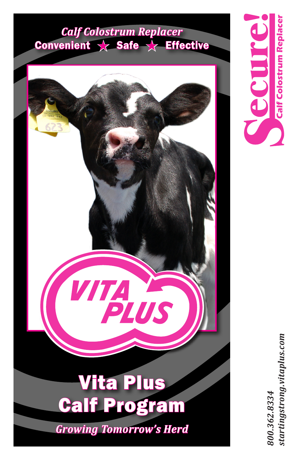# *Calf Colostrum Replacer*  Convenient  $\chi$  Safe  $\chi$  Effective

# VITA PLUS Vita Plus Calf Program *Growing Tomorrow's Herd*

**Calf Colostrum Replacer** ecure

> startingstrong.vitaplus.com *startingstrong.vitaplus.com 800.362.8334*  800.362.8334